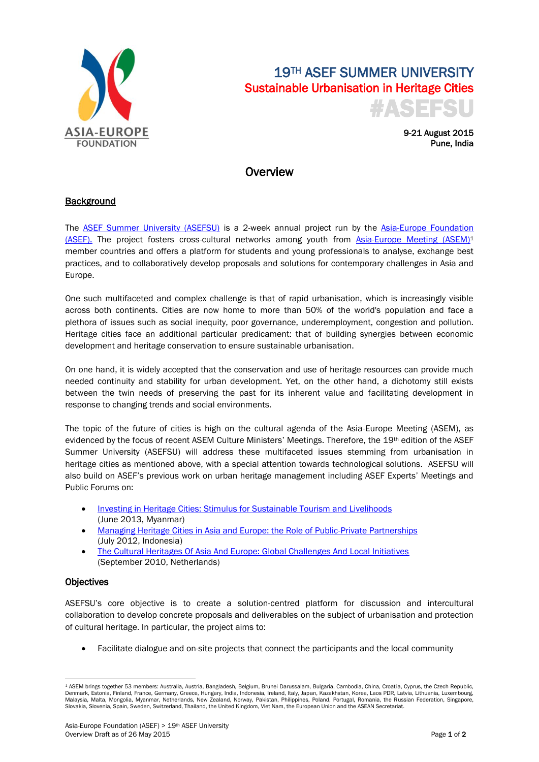

# 19TH ASEF SUMMER UNIVERSITY Sustainable Urbanisation in Heritage Cities #ASEFSU

9-21 August 2015 Pune, India

## **Overview**

### **Background**

The **[ASEF Summer University \(ASEFSU\)](http://asef.org/index.php/projects/programmes/522-au)** is a 2-week annual project run by the **Asia-Europe Foundation** [\(ASEF\).](http://www.asef.org/) The project fosters cross-cultural networks among youth from [Asia-Europe Meeting \(ASEM\)](http://www.aseminfoboard.org/)<sup>1</sup> member countries and offers a platform for students and young professionals to analyse, exchange best practices, and to collaboratively develop proposals and solutions for contemporary challenges in Asia and Europe.

One such multifaceted and complex challenge is that of rapid urbanisation, which is increasingly visible across both continents. Cities are now home to more than 50% of the world's population and face a plethora of issues such as social inequity, poor governance, underemployment, congestion and pollution. Heritage cities face an additional particular predicament: that of building synergies between economic development and heritage conservation to ensure sustainable urbanisation.

On one hand, it is widely accepted that the conservation and use of heritage resources can provide much needed continuity and stability for urban development. Yet, on the other hand, a dichotomy still exists between the twin needs of preserving the past for its inherent value and facilitating development in response to changing trends and social environments.

The topic of the future of cities is high on the cultural agenda of the Asia-Europe Meeting (ASEM), as evidenced by the focus of recent ASEM Culture Ministers' Meetings. Therefore, the 19th edition of the ASEF Summer University (ASEFSU) will address these multifaceted issues stemming from urbanisation in heritage cities as mentioned above, with a special attention towards technological solutions. ASEFSU will also build on ASEF's previous work on urban heritage management including ASEF Experts' Meetings and Public Forums on:

- [Investing in Heritage Cities: Stimulus for Sustainable Tourism and Livelihoods](http://www.asef.org/index.php/projects/themes/culture/2963-asef-experts-meeting-and-public-forum-investing-in-heritage-cities-stimulus-for-sustainable-tourism-and-livelihoods) (June 2013, Myanmar)
- [Managing Heritage Cities in Asia and Europe: the Role of Public-Private Partnerships](http://www.asef.org/index.php/projects/themes/culture/2495-asia-europe-experts-meeting-on-public-private-partnerships-in-the-management-of-heritage-cities-) (July 2012, Indonesia)
- [The Cultural Heritages Of Asia And Europe: Global Challenges And Local Initiatives](http://www.asef.org/index.php/projects/themes/arts-culture/843-expert-roundtable-in-preparation-for-the-4th-asem-culture-ministers-meeting-the-cultural-heritages-of-asia-and-europe-global-challenges-and-local-initiatives)  (September 2010, Netherlands)

#### **Objectives**

ASEFSU's core objective is to create a solution-centred platform for discussion and intercultural collaboration to develop concrete proposals and deliverables on the subject of urbanisation and protection of cultural heritage. In particular, the project aims to:

Facilitate dialogue and on-site projects that connect the participants and the local community

**<sup>.</sup>** <sup>1</sup> ASEM brings together 53 members: Australia, Austria, Bangladesh, Belgium, Brunei Darussalam, Bulgaria, Cambodia, China, Croatia, Cyprus, the Czech Republic, Denmark, Estonia, Finland, France, Germany, Greece, Hungary, India, Indonesia, Ireland, Italy, Japan, Kazakhstan, Korea, Laos PDR, Latvia, Lithuania, Luxembourg, Malaysia, Malta, Mongolia, Myanmar, Netherlands, New Zealand, Norway, Pakistan, Philippines, Poland, Portugal, Romania, the Russian Federation, Singapore, Slovakia, Slovenia, Spain, Sweden, Switzerland, Thailand, the United Kingdom, Viet Nam, the European Union and the ASEAN Secretariat.